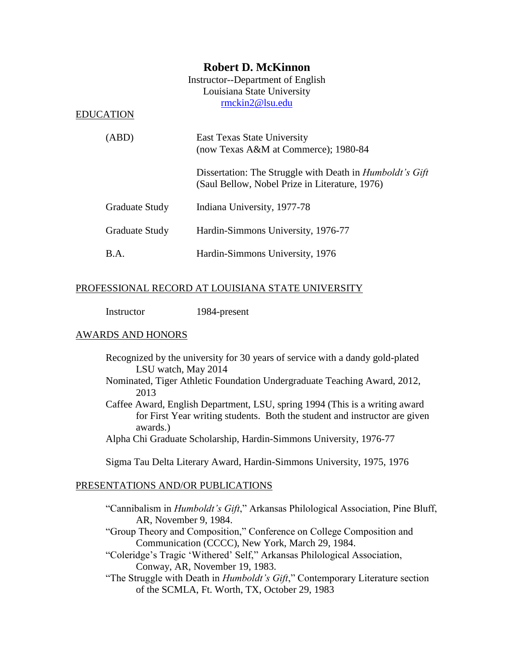# **Robert D. McKinnon**

Instructor--Department of English Louisiana State University [rmckin2@lsu.edu](mailto:rmckin2@lsu.edu)

#### EDUCATION

| (ABD)                 | East Texas State University<br>(now Texas A&M at Commerce); 1980-84                                               |
|-----------------------|-------------------------------------------------------------------------------------------------------------------|
|                       | Dissertation: The Struggle with Death in <i>Humboldt's Gift</i><br>(Saul Bellow, Nobel Prize in Literature, 1976) |
| <b>Graduate Study</b> | Indiana University, 1977-78                                                                                       |
| <b>Graduate Study</b> | Hardin-Simmons University, 1976-77                                                                                |
| B.A.                  | Hardin-Simmons University, 1976                                                                                   |

# PROFESSIONAL RECORD AT LOUISIANA STATE UNIVERSITY

Instructor 1984-present

# AWARDS AND HONORS

- Recognized by the university for 30 years of service with a dandy gold-plated LSU watch, May 2014
- Nominated, Tiger Athletic Foundation Undergraduate Teaching Award, 2012, 2013
- Caffee Award, English Department, LSU, spring 1994 (This is a writing award for First Year writing students. Both the student and instructor are given awards.)
- Alpha Chi Graduate Scholarship, Hardin-Simmons University, 1976-77

Sigma Tau Delta Literary Award, Hardin-Simmons University, 1975, 1976

#### PRESENTATIONS AND/OR PUBLICATIONS

- "Cannibalism in *Humboldt's Gift*," Arkansas Philological Association, Pine Bluff, AR, November 9, 1984.
- "Group Theory and Composition," Conference on College Composition and Communication (CCCC), New York, March 29, 1984.
- "Coleridge's Tragic 'Withered' Self," Arkansas Philological Association, Conway, AR, November 19, 1983.
- "The Struggle with Death in *Humboldt's Gift*," Contemporary Literature section of the SCMLA, Ft. Worth, TX, October 29, 1983